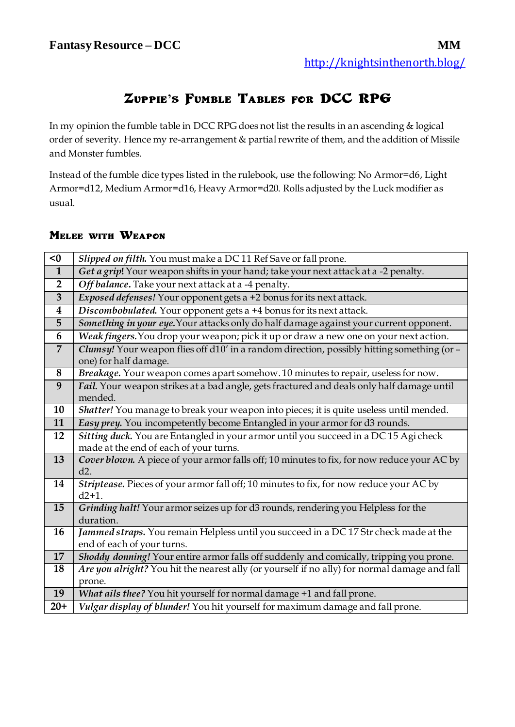## **Zuppie's Fumble Tables for DCC RPG**

In my opinion the fumble table in DCC RPG does not list the results in an ascending & logical order of severity. Hence my re-arrangement & partial rewrite of them, and the addition of Missile and Monster fumbles.

Instead of the fumble dice types listed in the rulebook, use the following: No Armor=d6, Light Armor=d12, Medium Armor=d16, Heavy Armor=d20. Rolls adjusted by the Luck modifier as usual.

## **Melee with Weapon**

| < 0                     | Slipped on filth. You must make a DC 11 Ref Save or fall prone.                                                     |
|-------------------------|---------------------------------------------------------------------------------------------------------------------|
| $\mathbf{1}$            | Get a grip! Your weapon shifts in your hand; take your next attack at a -2 penalty.                                 |
| $\overline{2}$          | Off balance. Take your next attack at a -4 penalty.                                                                 |
| $\overline{\mathbf{3}}$ | Exposed defenses! Your opponent gets a +2 bonus for its next attack.                                                |
| 4                       | Discombobulated. Your opponent gets a +4 bonus for its next attack.                                                 |
| 5                       | Something in your eye. Your attacks only do half damage against your current opponent.                              |
| 6                       | Weak fingers. You drop your weapon; pick it up or draw a new one on your next action.                               |
| $\overline{7}$          | Clumsy! Your weapon flies off d10' in a random direction, possibly hitting something (or -<br>one) for half damage. |
| 8                       | Breakage. Your weapon comes apart somehow. 10 minutes to repair, useless for now.                                   |
| 9                       | Fail. Your weapon strikes at a bad angle, gets fractured and deals only half damage until<br>mended.                |
| 10                      | Shatter! You manage to break your weapon into pieces; it is quite useless until mended.                             |
| 11                      | Easy prey. You incompetently become Entangled in your armor for d3 rounds.                                          |
| 12                      | Sitting duck. You are Entangled in your armor until you succeed in a DC 15 Agi check                                |
|                         | made at the end of each of your turns.                                                                              |
| 13                      | Cover blown. A piece of your armor falls off; 10 minutes to fix, for now reduce your AC by<br>d2.                   |
| 14                      | Striptease. Pieces of your armor fall off; 10 minutes to fix, for now reduce your AC by<br>$d2+1$ .                 |
| 15                      | Grinding halt! Your armor seizes up for d3 rounds, rendering you Helpless for the<br>duration.                      |
| 16                      | Jammed straps. You remain Helpless until you succeed in a DC 17 Str check made at the                               |
|                         | end of each of your turns.                                                                                          |
| 17                      | Shoddy donning! Your entire armor falls off suddenly and comically, tripping you prone.                             |
| 18                      | Are you alright? You hit the nearest ally (or yourself if no ally) for normal damage and fall                       |
|                         | prone.                                                                                                              |
| 19                      | What ails thee? You hit yourself for normal damage +1 and fall prone.                                               |
| $20+$                   | Vulgar display of blunder! You hit yourself for maximum damage and fall prone.                                      |